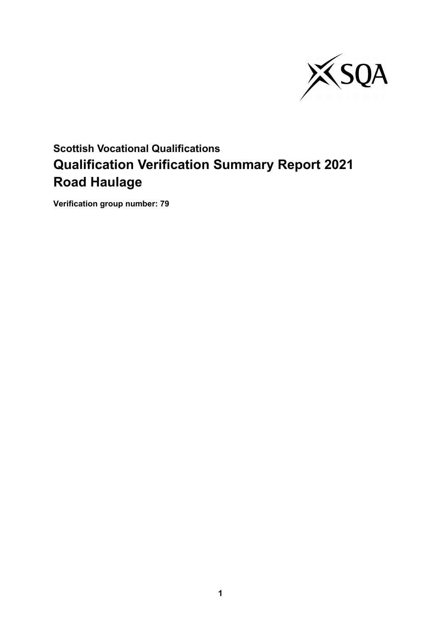

# **Scottish Vocational Qualifications Qualification Verification Summary Report 2021 Road Haulage**

**Verification group number: 79**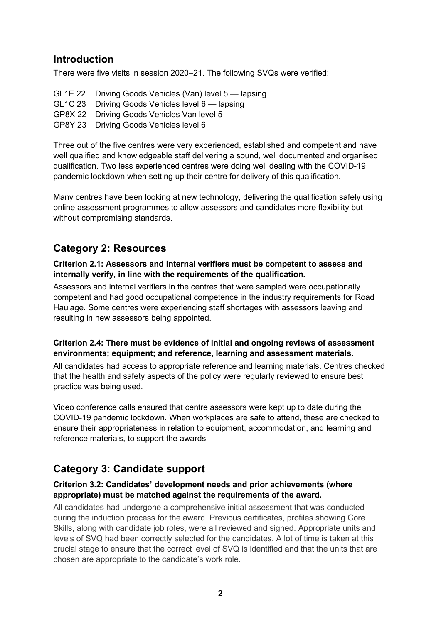### **Introduction**

There were five visits in session 2020–21. The following SVQs were verified:

GL1E 22 Driving Goods Vehicles (Van) level 5 — lapsing GL1C 23 Driving Goods Vehicles level 6 — lapsing GP8X 22 Driving Goods Vehicles Van level 5 GP8Y 23 Driving Goods Vehicles level 6

Three out of the five centres were very experienced, established and competent and have well qualified and knowledgeable staff delivering a sound, well documented and organised qualification. Two less experienced centres were doing well dealing with the COVID-19 pandemic lockdown when setting up their centre for delivery of this qualification.

Many centres have been looking at new technology, delivering the qualification safely using online assessment programmes to allow assessors and candidates more flexibility but without compromising standards.

# **Category 2: Resources**

**Criterion 2.1: Assessors and internal verifiers must be competent to assess and internally verify, in line with the requirements of the qualification.**

Assessors and internal verifiers in the centres that were sampled were occupationally competent and had good occupational competence in the industry requirements for Road Haulage. Some centres were experiencing staff shortages with assessors leaving and resulting in new assessors being appointed.

#### **Criterion 2.4: There must be evidence of initial and ongoing reviews of assessment environments; equipment; and reference, learning and assessment materials.**

All candidates had access to appropriate reference and learning materials. Centres checked that the health and safety aspects of the policy were regularly reviewed to ensure best practice was being used.

Video conference calls ensured that centre assessors were kept up to date during the COVID-19 pandemic lockdown. When workplaces are safe to attend, these are checked to ensure their appropriateness in relation to equipment, accommodation, and learning and reference materials, to support the awards.

# **Category 3: Candidate support**

#### **Criterion 3.2: Candidates' development needs and prior achievements (where appropriate) must be matched against the requirements of the award.**

All candidates had undergone a comprehensive initial assessment that was conducted during the induction process for the award. Previous certificates, profiles showing Core Skills, along with candidate job roles, were all reviewed and signed. Appropriate units and levels of SVQ had been correctly selected for the candidates. A lot of time is taken at this crucial stage to ensure that the correct level of SVQ is identified and that the units that are chosen are appropriate to the candidate's work role.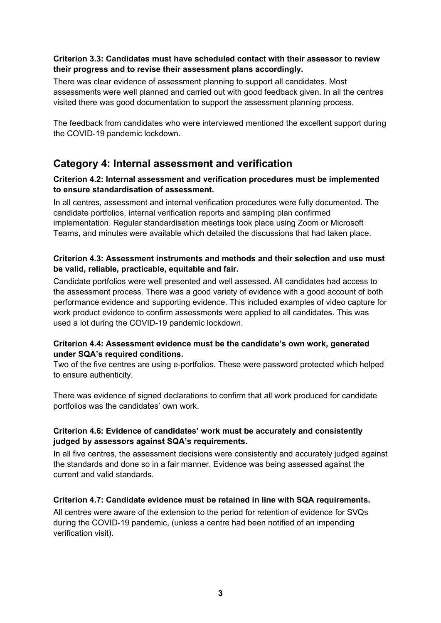#### **Criterion 3.3: Candidates must have scheduled contact with their assessor to review their progress and to revise their assessment plans accordingly.**

There was clear evidence of assessment planning to support all candidates. Most assessments were well planned and carried out with good feedback given. In all the centres visited there was good documentation to support the assessment planning process.

The feedback from candidates who were interviewed mentioned the excellent support during the COVID-19 pandemic lockdown.

### **Category 4: Internal assessment and verification**

#### **Criterion 4.2: Internal assessment and verification procedures must be implemented to ensure standardisation of assessment.**

In all centres, assessment and internal verification procedures were fully documented. The candidate portfolios, internal verification reports and sampling plan confirmed implementation. Regular standardisation meetings took place using Zoom or Microsoft Teams, and minutes were available which detailed the discussions that had taken place.

#### **Criterion 4.3: Assessment instruments and methods and their selection and use must be valid, reliable, practicable, equitable and fair.**

Candidate portfolios were well presented and well assessed. All candidates had access to the assessment process. There was a good variety of evidence with a good account of both performance evidence and supporting evidence. This included examples of video capture for work product evidence to confirm assessments were applied to all candidates. This was used a lot during the COVID-19 pandemic lockdown.

#### **Criterion 4.4: Assessment evidence must be the candidate's own work, generated under SQA's required conditions.**

Two of the five centres are using e-portfolios. These were password protected which helped to ensure authenticity.

There was evidence of signed declarations to confirm that all work produced for candidate portfolios was the candidates' own work.

#### **Criterion 4.6: Evidence of candidates' work must be accurately and consistently judged by assessors against SQA's requirements.**

In all five centres, the assessment decisions were consistently and accurately judged against the standards and done so in a fair manner. Evidence was being assessed against the current and valid standards.

#### **Criterion 4.7: Candidate evidence must be retained in line with SQA requirements.**

All centres were aware of the extension to the period for retention of evidence for SVQs during the COVID-19 pandemic, (unless a centre had been notified of an impending verification visit).